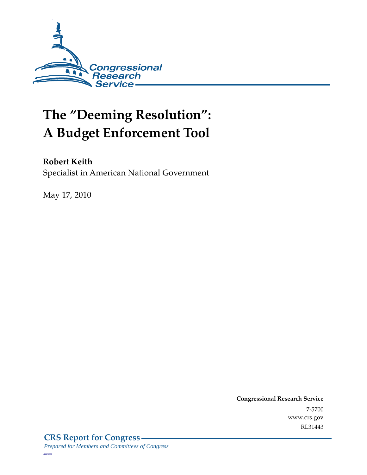

# **The "Deeming Resolution": A Budget Enforcement Tool**

**Robert Keith** 

Specialist in American National Government

May 17, 2010

**Congressional Research Service** 7-5700 www.crs.gov RL31443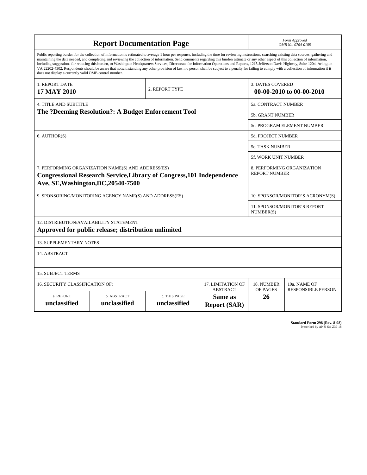| <b>Report Documentation Page</b>                                                                                                                                                                                                                                                                                                                                                                                                                                                                                                                                                                                                                                                                                                                                                                                                                                   |                                                     |                                                     |                                                   |                             | Form Approved<br>OMB No. 0704-0188                 |  |  |
|--------------------------------------------------------------------------------------------------------------------------------------------------------------------------------------------------------------------------------------------------------------------------------------------------------------------------------------------------------------------------------------------------------------------------------------------------------------------------------------------------------------------------------------------------------------------------------------------------------------------------------------------------------------------------------------------------------------------------------------------------------------------------------------------------------------------------------------------------------------------|-----------------------------------------------------|-----------------------------------------------------|---------------------------------------------------|-----------------------------|----------------------------------------------------|--|--|
| Public reporting burden for the collection of information is estimated to average 1 hour per response, including the time for reviewing instructions, searching existing data sources, gathering and<br>maintaining the data needed, and completing and reviewing the collection of information. Send comments regarding this burden estimate or any other aspect of this collection of information,<br>including suggestions for reducing this burden, to Washington Headquarters Services, Directorate for Information Operations and Reports, 1215 Jefferson Davis Highway, Suite 1204, Arlington<br>VA 22202-4302. Respondents should be aware that notwithstanding any other provision of law, no person shall be subject to a penalty for failing to comply with a collection of information if it<br>does not display a currently valid OMB control number. |                                                     |                                                     |                                                   |                             |                                                    |  |  |
| 1. REPORT DATE<br><b>17 MAY 2010</b>                                                                                                                                                                                                                                                                                                                                                                                                                                                                                                                                                                                                                                                                                                                                                                                                                               |                                                     | <b>3. DATES COVERED</b><br>00-00-2010 to 00-00-2010 |                                                   |                             |                                                    |  |  |
| <b>4. TITLE AND SUBTITLE</b>                                                                                                                                                                                                                                                                                                                                                                                                                                                                                                                                                                                                                                                                                                                                                                                                                                       |                                                     |                                                     |                                                   | 5a. CONTRACT NUMBER         |                                                    |  |  |
|                                                                                                                                                                                                                                                                                                                                                                                                                                                                                                                                                                                                                                                                                                                                                                                                                                                                    | The ?Deeming Resolution?: A Budget Enforcement Tool |                                                     |                                                   | <b>5b. GRANT NUMBER</b>     |                                                    |  |  |
|                                                                                                                                                                                                                                                                                                                                                                                                                                                                                                                                                                                                                                                                                                                                                                                                                                                                    |                                                     |                                                     |                                                   | 5c. PROGRAM ELEMENT NUMBER  |                                                    |  |  |
| 6. AUTHOR(S)                                                                                                                                                                                                                                                                                                                                                                                                                                                                                                                                                                                                                                                                                                                                                                                                                                                       |                                                     |                                                     |                                                   | <b>5d. PROJECT NUMBER</b>   |                                                    |  |  |
|                                                                                                                                                                                                                                                                                                                                                                                                                                                                                                                                                                                                                                                                                                                                                                                                                                                                    |                                                     |                                                     |                                                   | 5e. TASK NUMBER             |                                                    |  |  |
|                                                                                                                                                                                                                                                                                                                                                                                                                                                                                                                                                                                                                                                                                                                                                                                                                                                                    |                                                     |                                                     |                                                   | <b>5f. WORK UNIT NUMBER</b> |                                                    |  |  |
| 7. PERFORMING ORGANIZATION NAME(S) AND ADDRESS(ES)<br><b>Congressional Research Service, Library of Congress, 101 Independence</b><br>Ave, SE, Washington, DC, 20540-7500                                                                                                                                                                                                                                                                                                                                                                                                                                                                                                                                                                                                                                                                                          |                                                     |                                                     |                                                   |                             | 8. PERFORMING ORGANIZATION<br><b>REPORT NUMBER</b> |  |  |
| 9. SPONSORING/MONITORING AGENCY NAME(S) AND ADDRESS(ES)                                                                                                                                                                                                                                                                                                                                                                                                                                                                                                                                                                                                                                                                                                                                                                                                            |                                                     |                                                     |                                                   |                             | 10. SPONSOR/MONITOR'S ACRONYM(S)                   |  |  |
|                                                                                                                                                                                                                                                                                                                                                                                                                                                                                                                                                                                                                                                                                                                                                                                                                                                                    |                                                     | 11. SPONSOR/MONITOR'S REPORT<br>NUMBER(S)           |                                                   |                             |                                                    |  |  |
| 12. DISTRIBUTION/AVAILABILITY STATEMENT<br>Approved for public release; distribution unlimited                                                                                                                                                                                                                                                                                                                                                                                                                                                                                                                                                                                                                                                                                                                                                                     |                                                     |                                                     |                                                   |                             |                                                    |  |  |
| <b>13. SUPPLEMENTARY NOTES</b>                                                                                                                                                                                                                                                                                                                                                                                                                                                                                                                                                                                                                                                                                                                                                                                                                                     |                                                     |                                                     |                                                   |                             |                                                    |  |  |
| 14. ABSTRACT                                                                                                                                                                                                                                                                                                                                                                                                                                                                                                                                                                                                                                                                                                                                                                                                                                                       |                                                     |                                                     |                                                   |                             |                                                    |  |  |
| <b>15. SUBJECT TERMS</b>                                                                                                                                                                                                                                                                                                                                                                                                                                                                                                                                                                                                                                                                                                                                                                                                                                           |                                                     |                                                     |                                                   |                             |                                                    |  |  |
| 16. SECURITY CLASSIFICATION OF:                                                                                                                                                                                                                                                                                                                                                                                                                                                                                                                                                                                                                                                                                                                                                                                                                                    |                                                     | 17. LIMITATION OF                                   | 18. NUMBER                                        | 19a. NAME OF                |                                                    |  |  |
| a. REPORT<br>b. ABSTRACT<br>c. THIS PAGE<br>unclassified<br>unclassified<br>unclassified                                                                                                                                                                                                                                                                                                                                                                                                                                                                                                                                                                                                                                                                                                                                                                           |                                                     |                                                     | <b>ABSTRACT</b><br>Same as<br><b>Report (SAR)</b> | OF PAGES<br>26              | <b>RESPONSIBLE PERSON</b>                          |  |  |

**Standard Form 298 (Rev. 8-98)**<br>Prescribed by ANSI Std Z39-18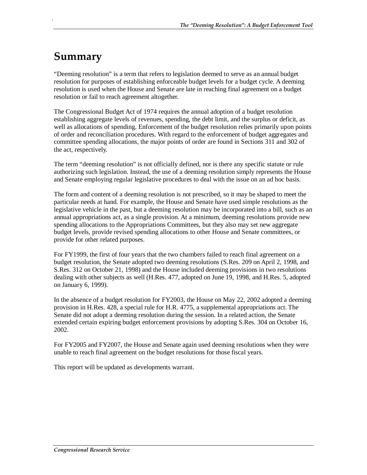## **Summary**

.

"Deeming resolution" is a term that refers to legislation deemed to serve as an annual budget resolution for purposes of establishing enforceable budget levels for a budget cycle. A deeming resolution is used when the House and Senate are late in reaching final agreement on a budget resolution or fail to reach agreement altogether.

The Congressional Budget Act of 1974 requires the annual adoption of a budget resolution establishing aggregate levels of revenues, spending, the debt limit, and the surplus or deficit, as well as allocations of spending. Enforcement of the budget resolution relies primarily upon points of order and reconciliation procedures. With regard to the enforcement of budget aggregates and committee spending allocations, the major points of order are found in Sections 311 and 302 of the act, respectively.

The term "deeming resolution" is not officially defined, nor is there any specific statute or rule authorizing such legislation. Instead, the use of a deeming resolution simply represents the House and Senate employing regular legislative procedures to deal with the issue on an ad hoc basis.

The form and content of a deeming resolution is not prescribed, so it may be shaped to meet the particular needs at hand. For example, the House and Senate have used simple resolutions as the legislative vehicle in the past, but a deeming resolution may be incorporated into a bill, such as an annual appropriations act, as a single provision. At a minimum, deeming resolutions provide new spending allocations to the Appropriations Committees, but they also may set new aggregate budget levels, provide revised spending allocations to other House and Senate committees, or provide for other related purposes.

For FY1999, the first of four years that the two chambers failed to reach final agreement on a budget resolution, the Senate adopted two deeming resolutions (S.Res. 209 on April 2, 1998, and S.Res. 312 on October 21, 1998) and the House included deeming provisions in two resolutions dealing with other subjects as well (H.Res. 477, adopted on June 19, 1998, and H.Res. 5, adopted on January 6, 1999).

In the absence of a budget resolution for FY2003, the House on May 22, 2002 adopted a deeming provision in H.Res. 428, a special rule for H.R. 4775, a supplemental appropriations act. The Senate did not adopt a deeming resolution during the session. In a related action, the Senate extended certain expiring budget enforcement provisions by adopting S.Res. 304 on October 16, 2002.

For FY2005 and FY2007, the House and Senate again used deeming resolutions when they were unable to reach final agreement on the budget resolutions for those fiscal years.

This report will be updated as developments warrant.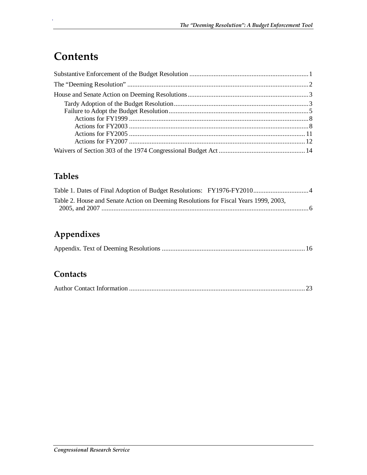# **Contents**

.

## **Tables**

| Table 2. House and Senate Action on Deeming Resolutions for Fiscal Years 1999, 2003, |  |
|--------------------------------------------------------------------------------------|--|
|                                                                                      |  |

## **Appendixes**

## **Contacts**

|--|--|--|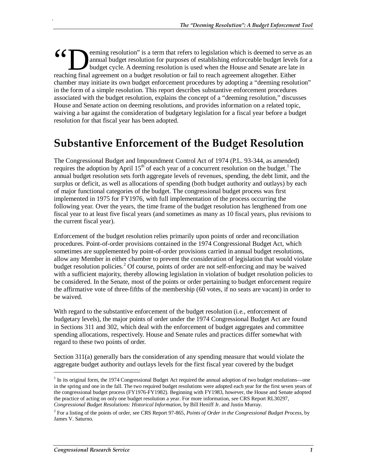eeming resolution" is a term that refers to legislation which is deemed to serve as an annual budget resolution for purposes of establishing enforceable budget levels for a budget cycle. A deeming resolution is used when the House and Senate are late in **6 Community** eeming resolution" is a term that refers to legislation which is deemed to serve annual budget resolution for purposes of establishing enforceable budget levels budget cycle. A deeming resolution is used when chamber may initiate its own budget enforcement procedures by adopting a "deeming resolution" in the form of a simple resolution. This report describes substantive enforcement procedures associated with the budget resolution, explains the concept of a "deeming resolution," discusses House and Senate action on deeming resolutions, and provides information on a related topic, waiving a bar against the consideration of budgetary legislation for a fiscal year before a budget resolution for that fiscal year has been adopted.

## **Substantive Enforcement of the Budget Resolution**

The Congressional Budget and Impoundment Control Act of 1974 (P.L. 93-344, as amended) requires the adoption by April  $15<sup>th</sup>$  of each year of a concurrent resolution on the budget.<sup>1</sup> The annual budget resolution sets forth aggregate levels of revenues, spending, the debt limit, and the surplus or deficit, as well as allocations of spending (both budget authority and outlays) by each of major functional categories of the budget. The congressional budget process was first implemented in 1975 for FY1976, with full implementation of the process occurring the following year. Over the years, the time frame of the budget resolution has lengthened from one fiscal year to at least five fiscal years (and sometimes as many as 10 fiscal years, plus revisions to the current fiscal year).

Enforcement of the budget resolution relies primarily upon points of order and reconciliation procedures. Point-of-order provisions contained in the 1974 Congressional Budget Act, which sometimes are supplemented by point-of-order provisions carried in annual budget resolutions, allow any Member in either chamber to prevent the consideration of legislation that would violate budget resolution policies.<sup>2</sup> Of course, points of order are not self-enforcing and may be waived with a sufficient majority, thereby allowing legislation in violation of budget resolution policies to be considered. In the Senate, most of the points or order pertaining to budget enforcement require the affirmative vote of three-fifths of the membership (60 votes, if no seats are vacant) in order to be waived.

With regard to the substantive enforcement of the budget resolution (i.e., enforcement of budgetary levels), the major points of order under the 1974 Congressional Budget Act are found in Sections 311 and 302, which deal with the enforcement of budget aggregates and committee spending allocations, respectively. House and Senate rules and practices differ somewhat with regard to these two points of order.

Section 311(a) generally bars the consideration of any spending measure that would violate the aggregate budget authority and outlays levels for the first fiscal year covered by the budget

1

<sup>&</sup>lt;sup>1</sup> In its original form, the 1974 Congressional Budget Act required the annual adoption of two budget resolutions—one in the spring and one in the fall. The two required budget resolutions were adopted each year for the first seven years of the congressional budget process (FY1976-FY1982). Beginning with FY1983, however, the House and Senate adopted the practice of acting on only one budget resolution a year. For more information, see CRS Report RL30297, *Congressional Budget Resolutions: Historical Information*, by Bill Heniff Jr. and Justin Murray.

<sup>2</sup> For a listing of the points of order, see CRS Report 97-865, *Points of Order in the Congressional Budget Process*, by James V. Saturno.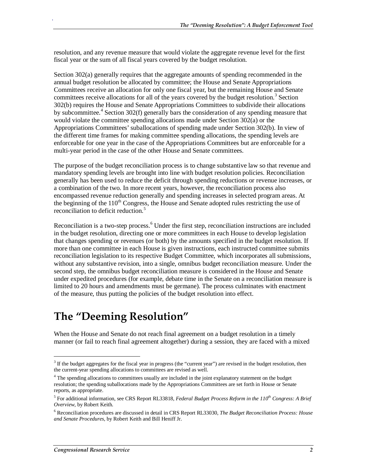resolution, and any revenue measure that would violate the aggregate revenue level for the first fiscal year or the sum of all fiscal years covered by the budget resolution.

Section 302(a) generally requires that the aggregate amounts of spending recommended in the annual budget resolution be allocated by committee; the House and Senate Appropriations Committees receive an allocation for only one fiscal year, but the remaining House and Senate committees receive allocations for all of the years covered by the budget resolution.<sup>3</sup> Section 302(b) requires the House and Senate Appropriations Committees to subdivide their allocations by subcommittee.<sup>4</sup> Section 302(f) generally bars the consideration of any spending measure that would violate the committee spending allocations made under Section 302(a) or the Appropriations Committees' suballocations of spending made under Section 302(b). In view of the different time frames for making committee spending allocations, the spending levels are enforceable for one year in the case of the Appropriations Committees but are enforceable for a multi-year period in the case of the other House and Senate committees.

The purpose of the budget reconciliation process is to change substantive law so that revenue and mandatory spending levels are brought into line with budget resolution policies. Reconciliation generally has been used to reduce the deficit through spending reductions or revenue increases, or a combination of the two. In more recent years, however, the reconciliation process also encompassed revenue reduction generally and spending increases in selected program areas. At the beginning of the  $110<sup>th</sup>$  Congress, the House and Senate adopted rules restricting the use of reconciliation to deficit reduction.<sup>5</sup>

Reconciliation is a two-step process.<sup>6</sup> Under the first step, reconciliation instructions are included in the budget resolution, directing one or more committees in each House to develop legislation that changes spending or revenues (or both) by the amounts specified in the budget resolution. If more than one committee in each House is given instructions, each instructed committee submits reconciliation legislation to its respective Budget Committee, which incorporates all submissions, without any substantive revision, into a single, omnibus budget reconciliation measure. Under the second step, the omnibus budget reconciliation measure is considered in the House and Senate under expedited procedures (for example, debate time in the Senate on a reconciliation measure is limited to 20 hours and amendments must be germane). The process culminates with enactment of the measure, thus putting the policies of the budget resolution into effect.

## **The "Deeming Resolution"**

When the House and Senate do not reach final agreement on a budget resolution in a timely manner (or fail to reach final agreement altogether) during a session, they are faced with a mixed

1

 $3$  If the budget aggregates for the fiscal year in progress (the "current year") are revised in the budget resolution, then the current-year spending allocations to committees are revised as well.

<sup>&</sup>lt;sup>4</sup> The spending allocations to committees usually are included in the joint explanatory statement on the budget resolution; the spending suballocations made by the Appropriations Committees are set forth in House or Senate reports, as appropriate.

 $^5$  For additional information, see CRS Report RL33818, *Federal Budget Process Reform in the 110<sup>th</sup> Congress: A Brief Overview*, by Robert Keith.

<sup>6</sup> Reconciliation procedures are discussed in detail in CRS Report RL33030, *The Budget Reconciliation Process: House and Senate Procedures*, by Robert Keith and Bill Heniff Jr.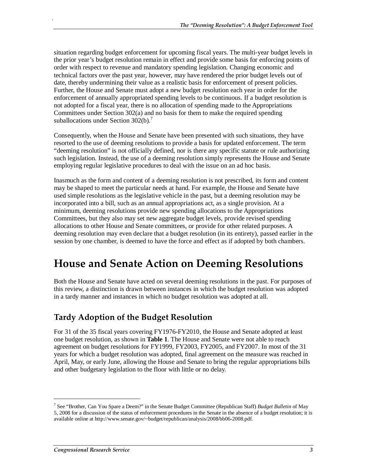situation regarding budget enforcement for upcoming fiscal years. The multi-year budget levels in the prior year's budget resolution remain in effect and provide some basis for enforcing points of order with respect to revenue and mandatory spending legislation. Changing economic and technical factors over the past year, however, may have rendered the prior budget levels out of date, thereby undermining their value as a realistic basis for enforcement of present policies. Further, the House and Senate must adopt a new budget resolution each year in order for the enforcement of annually appropriated spending levels to be continuous. If a budget resolution is not adopted for a fiscal year, there is no allocation of spending made to the Appropriations Committees under Section  $302(a)$  and no basis for them to make the required spending suballocations under Section  $302(b)$ .<sup>7</sup>

Consequently, when the House and Senate have been presented with such situations, they have resorted to the use of deeming resolutions to provide a basis for updated enforcement. The term "deeming resolution" is not officially defined, nor is there any specific statute or rule authorizing such legislation. Instead, the use of a deeming resolution simply represents the House and Senate employing regular legislative procedures to deal with the issue on an ad hoc basis.

Inasmuch as the form and content of a deeming resolution is not prescribed, its form and content may be shaped to meet the particular needs at hand. For example, the House and Senate have used simple resolutions as the legislative vehicle in the past, but a deeming resolution may be incorporated into a bill, such as an annual appropriations act, as a single provision. At a minimum, deeming resolutions provide new spending allocations to the Appropriations Committees, but they also may set new aggregate budget levels, provide revised spending allocations to other House and Senate committees, or provide for other related purposes. A deeming resolution may even declare that a budget resolution (in its entirety), passed earlier in the session by one chamber, is deemed to have the force and effect as if adopted by both chambers.

## **House and Senate Action on Deeming Resolutions**

Both the House and Senate have acted on several deeming resolutions in the past. For purposes of this review, a distinction is drawn between instances in which the budget resolution was adopted in a tardy manner and instances in which no budget resolution was adopted at all.

## **Tardy Adoption of the Budget Resolution**

For 31 of the 35 fiscal years covering FY1976-FY2010, the House and Senate adopted at least one budget resolution, as shown in **Table 1**. The House and Senate were not able to reach agreement on budget resolutions for FY1999, FY2003, FY2005, and FY2007. In most of the 31 years for which a budget resolution was adopted, final agreement on the measure was reached in April, May, or early June, allowing the House and Senate to bring the regular appropriations bills and other budgetary legislation to the floor with little or no delay.

1

<sup>7</sup> See "Brother, Can You Spare a Deem?" in the Senate Budget Committee (Republican Staff) *Budget Bulletin* of May 5, 2008 for a discussion of the status of enforcement procedures in the Senate in the absence of a budget resolution; it is available online at http://www.senate.gov/~budget/republican/analysis/2008/bb06-2008.pdf.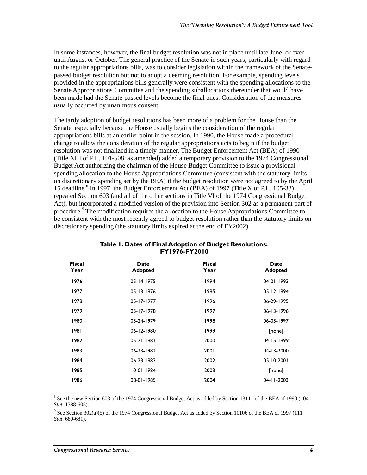In some instances, however, the final budget resolution was not in place until late June, or even until August or October. The general practice of the Senate in such years, particularly with regard to the regular appropriations bills, was to consider legislation within the framework of the Senatepassed budget resolution but not to adopt a deeming resolution. For example, spending levels provided in the appropriations bills generally were consistent with the spending allocations to the Senate Appropriations Committee and the spending suballocations thereunder that would have been made had the Senate-passed levels become the final ones. Consideration of the measures usually occurred by unanimous consent.

The tardy adoption of budget resolutions has been more of a problem for the House than the Senate, especially because the House usually begins the consideration of the regular appropriations bills at an earlier point in the session. In 1990, the House made a procedural change to allow the consideration of the regular appropriations acts to begin if the budget resolution was not finalized in a timely manner. The Budget Enforcement Act (BEA) of 1990 (Title XIII of P.L. 101-508, as amended) added a temporary provision to the 1974 Congressional Budget Act authorizing the chairman of the House Budget Committee to issue a provisional spending allocation to the House Appropriations Committee (consistent with the statutory limits on discretionary spending set by the BEA) if the budget resolution were not agreed to by the April 15 deadline.<sup>8</sup> In 1997, the Budget Enforcement Act (BEA) of 1997 (Title X of P.L. 105-33) repealed Section 603 (and all of the other sections in Title VI of the 1974 Congressional Budget Act), but incorporated a modified version of the provision into Section 302 as a permanent part of procedure.<sup>9</sup> The modification requires the allocation to the House Appropriations Committee to be consistent with the most recently agreed to budget resolution rather than the statutory limits on discretionary spending (the statutory limits expired at the end of FY2002).

| <b>Fiscal</b><br>Year | Date<br><b>Adopted</b> | <b>Fiscal</b><br>Year | <b>Date</b><br><b>Adopted</b> |  |
|-----------------------|------------------------|-----------------------|-------------------------------|--|
| 1976                  | 05-14-1975             | 1994                  | 04-01-1993                    |  |
| 1977                  | $05 - 13 - 1976$       | 1995                  | 05-12-1994                    |  |
| 1978                  | $05 - 17 - 1977$       | 1996                  | 06-29-1995                    |  |
| 1979                  | 05-17-1978             | 1997                  | $06 - 13 - 1996$              |  |
| 1980                  | 05-24-1979             | 1998                  | 06-05-1997                    |  |
| 1981                  | $06 - 12 - 1980$       | 1999                  | [none]                        |  |
| 1982                  | 05-21-1981             | 2000                  | 04-15-1999                    |  |
| 1983                  | 06-23-1982             | 2001                  | 04-13-2000                    |  |
| 1984                  | 06-23-1983             | 2002                  | 05-10-2001                    |  |
| 1985                  | $10-01-1984$           | 2003                  | [none]                        |  |
| 1986                  | 08-01-1985             | 2004                  | 04-11-2003                    |  |
|                       |                        |                       |                               |  |

#### **Table 1. Dates of Final Adoption of Budget Resolutions: FY1976-FY2010**

 $8$  See the new Section 603 of the 1974 Congressional Budget Act as added by Section 13111 of the BEA of 1990 (104 *Stat*. 1388-605).

<sup>9</sup> See Section 302(a)(5) of the 1974 Congressional Budget Act as added by Section 10106 of the BEA of 1997 (111 *Stat*. 680-681).

<u>.</u>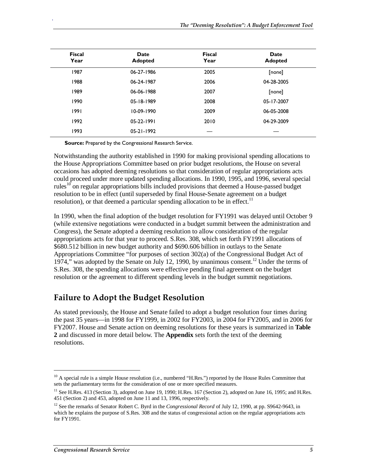| <b>Fiscal</b><br>Year | <b>Date</b><br><b>Adopted</b> | <b>Fiscal</b><br>Year | <b>Date</b><br><b>Adopted</b> |
|-----------------------|-------------------------------|-----------------------|-------------------------------|
| 1987                  | 06-27-1986                    | 2005                  | [none]                        |
| 1988                  | 06-24-1987                    | 2006                  | 04-28-2005                    |
| 1989                  | 06-06-1988                    | 2007                  | [none]                        |
| 1990                  | 05-18-1989                    | 2008                  | 05-17-2007                    |
| 1991                  | 10-09-1990                    | 2009                  | 06-05-2008                    |
| 1992                  | 05-22-1991                    | 2010                  | 04-29-2009                    |
| 1993                  | 05-21-1992                    |                       |                               |

**Source:** Prepared by the Congressional Research Service.

Notwithstanding the authority established in 1990 for making provisional spending allocations to the House Appropriations Committee based on prior budget resolutions, the House on several occasions has adopted deeming resolutions so that consideration of regular appropriations acts could proceed under more updated spending allocations. In 1990, 1995, and 1996, several special rules<sup>10</sup> on regular appropriations bills included provisions that deemed a House-passed budget resolution to be in effect (until superseded by final House-Senate agreement on a budget resolution), or that deemed a particular spending allocation to be in effect.<sup>11</sup>

In 1990, when the final adoption of the budget resolution for FY1991 was delayed until October 9 (while extensive negotiations were conducted in a budget summit between the administration and Congress), the Senate adopted a deeming resolution to allow consideration of the regular appropriations acts for that year to proceed. S.Res. 308, which set forth FY1991 allocations of \$680.512 billion in new budget authority and \$690.606 billion in outlays to the Senate Appropriations Committee "for purposes of section 302(a) of the Congressional Budget Act of 1974," was adopted by the Senate on July 12, 1990, by unanimous consent.<sup>12</sup> Under the terms of S.Res. 308, the spending allocations were effective pending final agreement on the budget resolution or the agreement to different spending levels in the budget summit negotiations.

## **Failure to Adopt the Budget Resolution**

As stated previously, the House and Senate failed to adopt a budget resolution four times during the past 35 years—in 1998 for FY1999, in 2002 for FY2003, in 2004 for FY2005, and in 2006 for FY2007. House and Senate action on deeming resolutions for these years is summarized in **Table 2** and discussed in more detail below. The **Appendix** sets forth the text of the deeming resolutions.

<u>.</u>

 $10$  A special rule is a simple House resolution (i.e., numbered "H.Res.") reported by the House Rules Committee that sets the parliamentary terms for the consideration of one or more specified measures.

 $11$  See H.Res. 413 (Section 3), adopted on June 19, 1990; H.Res. 167 (Section 2), adopted on June 16, 1995; and H.Res. 451 (Section 2) and 453, adopted on June 11 and 13, 1996, respectively.

<sup>&</sup>lt;sup>12</sup> See the remarks of Senator Robert C. Byrd in the *Congressional Record* of July 12, 1990, at pp. S9642-9643, in which he explains the purpose of S.Res. 308 and the status of congressional action on the regular appropriations acts for FY1991.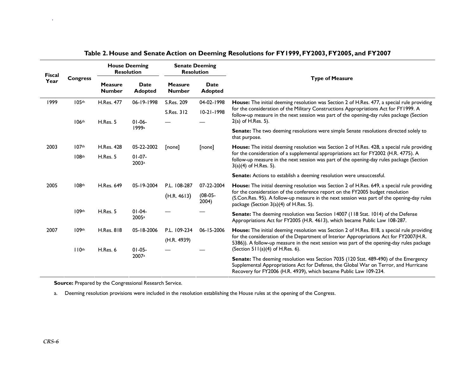| <b>Fiscal</b><br>Year     | <b>Congress</b>                                    | <b>House Deeming</b><br><b>Resolution</b> |                               | <b>Senate Deeming</b><br><b>Resolution</b>                                                                                                                                                                  |                                   |                                                                                                                                                                                                                                                                                                                                |
|---------------------------|----------------------------------------------------|-------------------------------------------|-------------------------------|-------------------------------------------------------------------------------------------------------------------------------------------------------------------------------------------------------------|-----------------------------------|--------------------------------------------------------------------------------------------------------------------------------------------------------------------------------------------------------------------------------------------------------------------------------------------------------------------------------|
|                           |                                                    | <b>Measure</b><br><b>Number</b>           | <b>Date</b><br><b>Adopted</b> | <b>Measure</b><br><b>Number</b>                                                                                                                                                                             | <b>Date</b><br><b>Adopted</b>     | <b>Type of Measure</b>                                                                                                                                                                                                                                                                                                         |
| 1999                      | 105 <sup>th</sup>                                  | <b>H.Res. 477</b>                         | 06-19-1998                    | S.Res. 209                                                                                                                                                                                                  | 04-02-1998                        | House: The initial deeming resolution was Section 2 of H.Res. 477, a special rule providing                                                                                                                                                                                                                                    |
|                           | 106 <sup>th</sup>                                  | <b>H.Res. 5</b>                           | $01-06-$                      | S.Res. 312                                                                                                                                                                                                  | $10-21-1998$                      | for the consideration of the Military Constructions Appropriations Act for FY1999. A<br>follow-up measure in the next session was part of the opening-day rules package (Section<br>$2(a)$ of H.Res. 5).                                                                                                                       |
|                           |                                                    |                                           | 1999a                         |                                                                                                                                                                                                             |                                   | Senate: The two deeming resolutions were simple Senate resolutions directed solely to<br>that purpose.                                                                                                                                                                                                                         |
| 2003<br>107 <sup>th</sup> |                                                    | <b>H.Res. 428</b>                         | 05-22-2002                    | [none]                                                                                                                                                                                                      | [none]                            | House: The initial deeming resolution was Section 2 of H.Res. 428, a special rule providing                                                                                                                                                                                                                                    |
|                           | $01-07-$<br>108 <sup>th</sup><br>H.Res. 5<br>2003a |                                           |                               | for the consideration of a supplemental appropriations act for FY2002 (H.R. 4775). A<br>follow-up measure in the next session was part of the opening-day rules package (Section<br>$3(a)(4)$ of H.Res. 5). |                                   |                                                                                                                                                                                                                                                                                                                                |
|                           |                                                    |                                           |                               |                                                                                                                                                                                                             |                                   | Senate: Actions to establish a deeming resolution were unsuccessful.                                                                                                                                                                                                                                                           |
| 2005                      | $108$ <sup>th</sup>                                | H.Res. 649                                | 05-19-2004                    | P.L. 108-287<br>(H.R. 4613)                                                                                                                                                                                 | 07-22-2004<br>$(08-05 -$<br>2004) | <b>House:</b> The initial deeming resolution was Section 2 of H.Res. 649, a special rule providing<br>for the consideration of the conference report on the FY2005 budget resolution<br>(S.Con.Res. 95). A follow-up measure in the next session was part of the opening-day rules<br>package (Section $3(a)(4)$ of H.Res. 5). |
|                           | 109 <sup>th</sup>                                  | H.Res. 5                                  | $01-04-$<br>2005a             |                                                                                                                                                                                                             |                                   | <b>Senate:</b> The deeming resolution was Section 14007 (118 Stat. 1014) of the Defense<br>Appropriations Act for FY2005 (H.R. 4613), which became Public Law 108-287.                                                                                                                                                         |
| 2007                      | 109 <sup>th</sup>                                  | <b>H.Res. 818</b>                         | 05-18-2006                    | P.L. 109-234                                                                                                                                                                                                | 06-15-2006                        | House: The initial deeming resolution was Section 2 of H.Res. 818, a special rule providing                                                                                                                                                                                                                                    |
|                           | 110 <sup>th</sup>                                  | H.Res. 6                                  | $01-05-$                      | (H.R. 4939)                                                                                                                                                                                                 |                                   | for the consideration of the Department of Interior Appropriations Act for FY2007(H.R.<br>5386)). A follow-up measure in the next session was part of the opening-day rules package<br>(Section $511(a)(4)$ of H.Res. 6).                                                                                                      |
|                           |                                                    | 2007a                                     |                               |                                                                                                                                                                                                             |                                   | <b>Senate:</b> The deeming resolution was Section 7035 (120 Stat. 489-490) of the Emergency<br>Supplemental Appropriations Act for Defense, the Global War on Terror, and Hurricane<br>Recovery for FY2006 (H.R. 4939), which became Public Law 109-234.                                                                       |

### **Table 2. House and Senate Action on Deeming Resolutions for FY1999, FY2003, FY2005, and FY2007**

**Source:** Prepared by the Congressional Research Service.

a. Deeming resolution provisions were included in the resolution establishing the House rules at the opening of the Congress.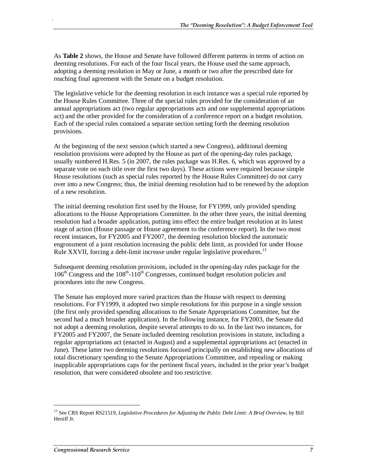As **Table 2** shows, the House and Senate have followed different patterns in terms of action on deeming resolutions. For each of the four fiscal years, the House used the same approach, adopting a deeming resolution in May or June, a month or two after the prescribed date for reaching final agreement with the Senate on a budget resolution.

The legislative vehicle for the deeming resolution in each instance was a special rule reported by the House Rules Committee. Three of the special rules provided for the consideration of an annual appropriations act (two regular appropriations acts and one supplemental appropriations act) and the other provided for the consideration of a conference report on a budget resolution. Each of the special rules contained a separate section setting forth the deeming resolution provisions.

At the beginning of the next session (which started a new Congress), additional deeming resolution provisions were adopted by the House as part of the opening-day rules package, usually numbered H.Res. 5 (in 2007, the rules package was H.Res. 6, which was approved by a separate vote on each title over the first two days). These actions were required because simple House resolutions (such as special rules reported by the House Rules Committee) do not carry over into a new Congress; thus, the initial deeming resolution had to be renewed by the adoption of a new resolution.

The initial deeming resolution first used by the House, for FY1999, only provided spending allocations to the House Appropriations Committee. In the other three years, the initial deeming resolution had a broader application, putting into effect the entire budget resolution at its latest stage of action (House passage or House agreement to the conference report). In the two most recent instances, for FY2005 and FY2007, the deeming resolution blocked the automatic engrossment of a joint resolution increasing the public debt limit, as provided for under House Rule XXVII, forcing a debt-limit increase under regular legislative procedures.<sup>13</sup>

Subsequent deeming resolution provisions, included in the opening-day rules package for the  $106<sup>th</sup>$  Congress and the  $108<sup>th</sup>$ -110<sup>th</sup> Congresses, continued budget resolution policies and procedures into the new Congress.

The Senate has employed more varied practices than the House with respect to deeming resolutions. For FY1999, it adopted two simple resolutions for this purpose in a single session (the first only provided spending allocations to the Senate Appropriations Committee, but the second had a much broader application). In the following instance, for FY2003, the Senate did not adopt a deeming resolution, despite several attempts to do so. In the last two instances, for FY2005 and FY2007, the Senate included deeming resolution provisions in statute, including a regular appropriations act (enacted in August) and a supplemental appropriations act (enacted in June). These latter two deeming resolutions focused principally on establishing new allocations of total discretionary spending to the Senate Appropriations Committee, and repealing or making inapplicable appropriations caps for the pertinent fiscal years, included in the prior year's budget resolution, that were considered obsolete and too restrictive.

1

<sup>13</sup> See CRS Report RS21519, *Legislative Procedures for Adjusting the Public Debt Limit: A Brief Overview*, by Bill Heniff Jr.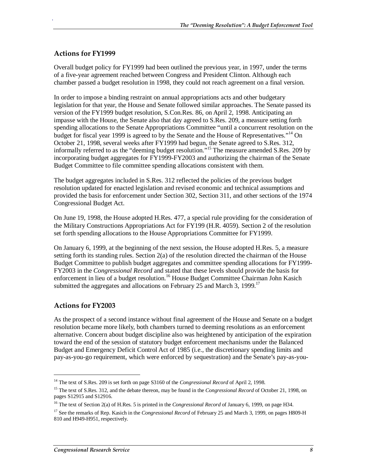## **Actions for FY1999**

.

Overall budget policy for FY1999 had been outlined the previous year, in 1997, under the terms of a five-year agreement reached between Congress and President Clinton. Although each chamber passed a budget resolution in 1998, they could not reach agreement on a final version.

In order to impose a binding restraint on annual appropriations acts and other budgetary legislation for that year, the House and Senate followed similar approaches. The Senate passed its version of the FY1999 budget resolution, S.Con.Res. 86, on April 2, 1998. Anticipating an impasse with the House, the Senate also that day agreed to S.Res. 209, a measure setting forth spending allocations to the Senate Appropriations Committee "until a concurrent resolution on the budget for fiscal year 1999 is agreed to by the Senate and the House of Representatives."<sup>14</sup> On October 21, 1998, several weeks after FY1999 had begun, the Senate agreed to S.Res. 312, informally referred to as the "deeming budget resolution."<sup>15</sup> The measure amended S.Res. 209 by incorporating budget aggregates for FY1999-FY2003 and authorizing the chairman of the Senate Budget Committee to file committee spending allocations consistent with them.

The budget aggregates included in S.Res. 312 reflected the policies of the previous budget resolution updated for enacted legislation and revised economic and technical assumptions and provided the basis for enforcement under Section 302, Section 311, and other sections of the 1974 Congressional Budget Act.

On June 19, 1998, the House adopted H.Res. 477, a special rule providing for the consideration of the Military Constructions Appropriations Act for FY199 (H.R. 4059). Section 2 of the resolution set forth spending allocations to the House Appropriations Committee for FY1999.

On January 6, 1999, at the beginning of the next session, the House adopted H.Res. 5, a measure setting forth its standing rules. Section 2(a) of the resolution directed the chairman of the House Budget Committee to publish budget aggregates and committee spending allocations for FY1999- FY2003 in the *Congressional Record* and stated that these levels should provide the basis for enforcement in lieu of a budget resolution.<sup>16</sup> House Budget Committee Chairman John Kasich submitted the aggregates and allocations on February 25 and March 3, 1999.<sup>17</sup>

## **Actions for FY2003**

<u>.</u>

As the prospect of a second instance without final agreement of the House and Senate on a budget resolution became more likely, both chambers turned to deeming resolutions as an enforcement alternative. Concern about budget discipline also was heightened by anticipation of the expiration toward the end of the session of statutory budget enforcement mechanisms under the Balanced Budget and Emergency Deficit Control Act of 1985 (i.e., the discretionary spending limits and pay-as-you-go requirement, which were enforced by sequestration) and the Senate's pay-as-you-

<sup>&</sup>lt;sup>14</sup> The text of S.Res. 209 is set forth on page S3160 of the *Congressional Record* of April 2, 1998.

<sup>&</sup>lt;sup>15</sup> The text of S.Res. 312, and the debate thereon, may be found in the *Congressional Record* of October 21, 1998, on pages S12915 and S12916.

<sup>&</sup>lt;sup>16</sup> The text of Section 2(a) of H.Res. 5 is printed in the *Congressional Record* of January 6, 1999, on page H34.

<sup>&</sup>lt;sup>17</sup> See the remarks of Rep. Kasich in the *Congressional Record* of February 25 and March 3, 1999, on pages H809-H 810 and H949-H951, respectively.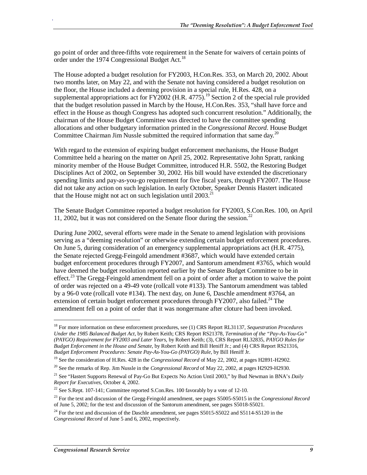go point of order and three-fifths vote requirement in the Senate for waivers of certain points of order under the 1974 Congressional Budget Act.<sup>18</sup>

The House adopted a budget resolution for FY2003, H.Con.Res. 353, on March 20, 2002. About two months later, on May 22, and with the Senate not having considered a budget resolution on the floor, the House included a deeming provision in a special rule, H.Res. 428, on a supplemental appropriations act for FY2002 (H.R. 4775).<sup>19</sup> Section 2 of the special rule provided that the budget resolution passed in March by the House, H.Con.Res. 353, "shall have force and effect in the House as though Congress has adopted such concurrent resolution." Additionally, the chairman of the House Budget Committee was directed to have the committee spending allocations and other budgetary information printed in the *Congressional Record*. House Budget Committee Chairman Jim Nussle submitted the required information that same day.<sup>20</sup>

With regard to the extension of expiring budget enforcement mechanisms, the House Budget Committee held a hearing on the matter on April 25, 2002. Representative John Spratt, ranking minority member of the House Budget Committee, introduced H.R. 5502, the Restoring Budget Disciplines Act of 2002, on September 30, 2002. His bill would have extended the discretionary spending limits and pay-as-you-go requirement for five fiscal years, through FY2007. The House did not take any action on such legislation. In early October, Speaker Dennis Hastert indicated that the House might not act on such legislation until  $2003$ <sup>21</sup>

The Senate Budget Committee reported a budget resolution for FY2003, S.Con.Res. 100, on April 11, 2002, but it was not considered on the Senate floor during the session.<sup>22</sup>

During June 2002, several efforts were made in the Senate to amend legislation with provisions serving as a "deeming resolution" or otherwise extending certain budget enforcement procedures. On June 5, during consideration of an emergency supplemental appropriations act (H.R. 4775), the Senate rejected Gregg-Feingold amendment #3687, which would have extended certain budget enforcement procedures through FY2007, and Santorum amendment #3765, which would have deemed the budget resolution reported earlier by the Senate Budget Committee to be in effect.<sup>23</sup> The Gregg-Feingold amendment fell on a point of order after a motion to waive the point of order was rejected on a 49-49 vote (rollcall vote #133). The Santorum amendment was tabled by a 96-0 vote (rollcall vote #134). The next day, on June 6, Daschle amendment #3764, an extension of certain budget enforcement procedures through  $FY2007$ , also failed.<sup>24</sup> The amendment fell on a point of order that it was nongermane after cloture had been invoked.

1

<sup>18</sup> For more information on these enforcement procedures, see (1) CRS Report RL31137, *Sequestration Procedures Under the 1985 Balanced Budget Act*, by Robert Keith; CRS Report RS21378, *Termination of the "Pay-As-You-Go" (PAYGO) Requirement for FY2003 and Later Years*, by Robert Keith; (3), CRS Report RL32835, *PAYGO Rules for Budget Enforcement in the House and Senate*, by Robert Keith and Bill Heniff Jr.; and (4) CRS Report RS21316, *Budget Enforcement Procedures: Senate Pay-As-You-Go (PAYGO) Rule*, by Bill Heniff Jr.

<sup>&</sup>lt;sup>19</sup> See the consideration of H.Res. 428 in the *Congressional Record* of May 22, 2002, at pages H2891-H2902.

<sup>20</sup> See the remarks of Rep. Jim Nussle in the *Congressional Record* of May 22, 2002, at pages H2929-H2930.

<sup>21</sup> See "Hastert Supports Renewal of Pay-Go But Expects No Action Until 2003," by Bud Newman in BNA's *Daily Report for Executives*, October 4, 2002.

<sup>&</sup>lt;sup>22</sup> See S.Rept. 107-141; Committee reported S.Con.Res. 100 favorably by a vote of 12-10.

<sup>&</sup>lt;sup>23</sup> For the text and discussion of the Gregg-Feingold amendment, see pages S5005-S5015 in the *Congressional Record* of June 5, 2002; for the text and discussion of the Santorum amendment, see pages S5018-S5021.

<sup>&</sup>lt;sup>24</sup> For the text and discussion of the Daschle amendment, see pages  $S5015-S5022$  and  $S5114-S5120$  in the *Congressional Record* of June 5 and 6, 2002, respectively.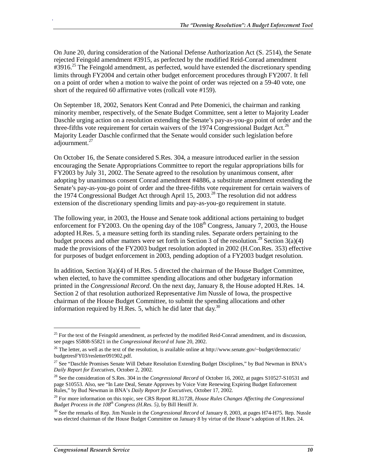On June 20, during consideration of the National Defense Authorization Act (S. 2514), the Senate rejected Feingold amendment #3915, as perfected by the modified Reid-Conrad amendment  $\#3916$ <sup>25</sup> The Feingold amendment, as perfected, would have extended the discretionary spending limits through FY2004 and certain other budget enforcement procedures through FY2007. It fell on a point of order when a motion to waive the point of order was rejected on a 59-40 vote, one short of the required 60 affirmative votes (rollcall vote #159).

On September 18, 2002, Senators Kent Conrad and Pete Domenici, the chairman and ranking minority member, respectively, of the Senate Budget Committee, sent a letter to Majority Leader Daschle urging action on a resolution extending the Senate's pay-as-you-go point of order and the three-fifths vote requirement for certain waivers of the 1974 Congressional Budget Act.<sup>26</sup> Majority Leader Daschle confirmed that the Senate would consider such legislation before adiournment.<sup>27</sup>

On October 16, the Senate considered S.Res. 304, a measure introduced earlier in the session encouraging the Senate Appropriations Committee to report the regular appropriations bills for FY2003 by July 31, 2002. The Senate agreed to the resolution by unanimous consent, after adopting by unanimous consent Conrad amendment #4886, a substitute amendment extending the Senate's pay-as-you-go point of order and the three-fifths vote requirement for certain waivers of the 1974 Congressional Budget Act through April 15, 2003.<sup>28</sup> The resolution did not address extension of the discretionary spending limits and pay-as-you-go requirement in statute.

The following year, in 2003, the House and Senate took additional actions pertaining to budget enforcement for FY2003. On the opening day of the  $108<sup>th</sup>$  Congress, January 7, 2003, the House adopted H.Res. 5, a measure setting forth its standing rules. Separate orders pertaining to the budget process and other matters were set forth in Section 3 of the resolution.<sup>29</sup> Section 3(a)(4) made the provisions of the FY2003 budget resolution adopted in 2002 (H.Con.Res. 353) effective for purposes of budget enforcement in 2003, pending adoption of a FY2003 budget resolution.

In addition, Section  $3(a)(4)$  of H.Res. 5 directed the chairman of the House Budget Committee, when elected, to have the committee spending allocations and other budgetary information printed in the *Congressional Record*. On the next day, January 8, the House adopted H.Res. 14. Section 2 of that resolution authorized Representative Jim Nussle of Iowa, the prospective chairman of the House Budget Committee, to submit the spending allocations and other information required by H.Res. 5, which he did later that day.<sup>30</sup>

1

 $25$  For the text of the Feingold amendment, as perfected by the modified Reid-Conrad amendment, and its discussion, see pages S5808-S5821 in the *Congressional Record* of June 20, 2002.

<sup>&</sup>lt;sup>26</sup> The letter, as well as the text of the resolution, is available online at http://www.senate.gov/~budget/democratic/ budgetresFY03/resletter091902.pdf.

<sup>&</sup>lt;sup>27</sup> See "Daschle Promises Senate Will Debate Resolution Extending Budget Disciplines," by Bud Newman in BNA's *Daily Report for Executives*, October 2, 2002.

<sup>&</sup>lt;sup>28</sup> See the consideration of S.Res. 304 in the *Congressional Record* of October 16, 2002, at pages S10527-S10531 and page S10553. Also, see "In Late Deal, Senate Approves by Voice Vote Renewing Expiring Budget Enforcement Rules," by Bud Newman in BNA's *Daily Report for Executives*, October 17, 2002.

<sup>29</sup> For more information on this topic, see CRS Report RL31728, *House Rules Changes Affecting the Congressional Budget Process in the 108<sup>th</sup> Congress (H.Res. 5)*, by Bill Heniff Jr.

<sup>30</sup> See the remarks of Rep. Jim Nussle in the *Congressional Record* of January 8, 2003, at pages H74-H75. Rep. Nussle was elected chairman of the House Budget Committee on January 8 by virtue of the House's adoption of H.Res. 24.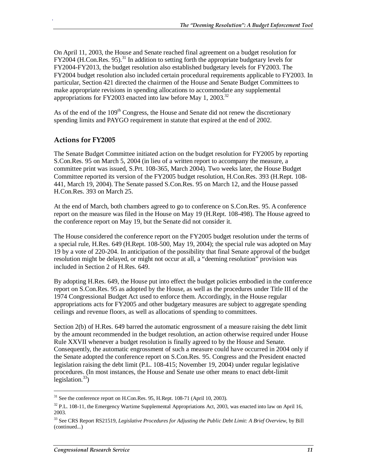On April 11, 2003, the House and Senate reached final agreement on a budget resolution for  $FY2004$  (H.Con.Res. 95).<sup>31</sup> In addition to setting forth the appropriate budgetary levels for FY2004-FY2013, the budget resolution also established budgetary levels for FY2003. The FY2004 budget resolution also included certain procedural requirements applicable to FY2003. In particular, Section 421 directed the chairmen of the House and Senate Budget Committees to make appropriate revisions in spending allocations to accommodate any supplemental appropriations for FY2003 enacted into law before May 1, 2003.<sup>32</sup>

As of the end of the  $109<sup>th</sup>$  Congress, the House and Senate did not renew the discretionary spending limits and PAYGO requirement in statute that expired at the end of 2002.

### **Actions for FY2005**

.

The Senate Budget Committee initiated action on the budget resolution for FY2005 by reporting S.Con.Res. 95 on March 5, 2004 (in lieu of a written report to accompany the measure, a committee print was issued, S.Prt. 108-365, March 2004). Two weeks later, the House Budget Committee reported its version of the FY2005 budget resolution, H.Con.Res. 393 (H.Rept. 108- 441, March 19, 2004). The Senate passed S.Con.Res. 95 on March 12, and the House passed H.Con.Res. 393 on March 25.

At the end of March, both chambers agreed to go to conference on S.Con.Res. 95. A conference report on the measure was filed in the House on May 19 (H.Rept. 108-498). The House agreed to the conference report on May 19, but the Senate did not consider it.

The House considered the conference report on the FY2005 budget resolution under the terms of a special rule, H.Res. 649 (H.Rept. 108-500, May 19, 2004); the special rule was adopted on May 19 by a vote of 220-204. In anticipation of the possibility that final Senate approval of the budget resolution might be delayed, or might not occur at all, a "deeming resolution" provision was included in Section 2 of H.Res. 649.

By adopting H.Res. 649, the House put into effect the budget policies embodied in the conference report on S.Con.Res. 95 as adopted by the House, as well as the procedures under Title III of the 1974 Congressional Budget Act used to enforce them. Accordingly, in the House regular appropriations acts for FY2005 and other budgetary measures are subject to aggregate spending ceilings and revenue floors, as well as allocations of spending to committees.

Section 2(b) of H.Res. 649 barred the automatic engrossment of a measure raising the debt limit by the amount recommended in the budget resolution, an action otherwise required under House Rule XXVII whenever a budget resolution is finally agreed to by the House and Senate. Consequently, the automatic engrossment of such a measure could have occurred in 2004 only if the Senate adopted the conference report on S.Con.Res. 95. Congress and the President enacted legislation raising the debt limit (P.L. 108-415; November 19, 2004) under regular legislative procedures. (In most instances, the House and Senate use other means to enact debt-limit legislation.<sup>33</sup>)

<u>.</u>

<sup>31</sup> See the conference report on H.Con.Res. 95, H.Rept. 108-71 (April 10, 2003).

 $32$  P.L. 108-11, the Emergency Wartime Supplemental Appropriations Act, 2003, was enacted into law on April 16, 2003.

<sup>33</sup> See CRS Report RS21519, *Legislative Procedures for Adjusting the Public Debt Limit: A Brief Overview*, by Bill (continued...)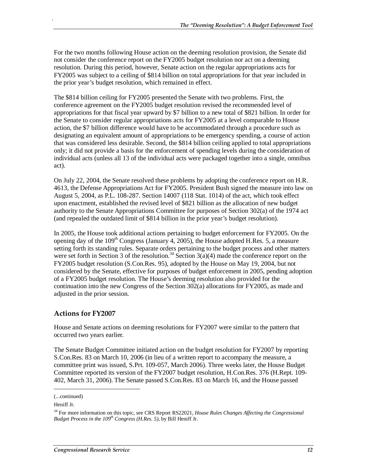For the two months following House action on the deeming resolution provision, the Senate did not consider the conference report on the FY2005 budget resolution nor act on a deeming resolution. During this period, however, Senate action on the regular appropriations acts for FY2005 was subject to a ceiling of \$814 billion on total appropriations for that year included in the prior year's budget resolution, which remained in effect.

The \$814 billion ceiling for FY2005 presented the Senate with two problems. First, the conference agreement on the FY2005 budget resolution revised the recommended level of appropriations for that fiscal year upward by \$7 billion to a new total of \$821 billion. In order for the Senate to consider regular appropriations acts for FY2005 at a level comparable to House action, the \$7 billion difference would have to be accommodated through a procedure such as designating an equivalent amount of appropriations to be emergency spending, a course of action that was considered less desirable. Second, the \$814 billion ceiling applied to total appropriations only; it did not provide a basis for the enforcement of spending levels during the consideration of individual acts (unless all 13 of the individual acts were packaged together into a single, omnibus act).

On July 22, 2004, the Senate resolved these problems by adopting the conference report on H.R. 4613, the Defense Appropriations Act for FY2005. President Bush signed the measure into law on August 5, 2004, as P.L. 108-287. Section 14007 (118 Stat. 1014) of the act, which took effect upon enactment, established the revised level of \$821 billion as the allocation of new budget authority to the Senate Appropriations Committee for purposes of Section 302(a) of the 1974 act (and repealed the outdated limit of \$814 billion in the prior year's budget resolution).

In 2005, the House took additional actions pertaining to budget enforcement for FY2005. On the opening day of the  $109<sup>th</sup>$  Congress (January 4, 2005), the House adopted H.Res. 5, a measure setting forth its standing rules. Separate orders pertaining to the budget process and other matters were set forth in Section 3 of the resolution.<sup>34</sup> Section  $3(a)(4)$  made the conference report on the FY2005 budget resolution (S.Con.Res. 95), adopted by the House on May 19, 2004, but not considered by the Senate, effective for purposes of budget enforcement in 2005, pending adoption of a FY2005 budget resolution. The House's deeming resolution also provided for the continuation into the new Congress of the Section 302(a) allocations for FY2005, as made and adjusted in the prior session.

## **Actions for FY2007**

House and Senate actions on deeming resolutions for FY2007 were similar to the pattern that occurred two years earlier.

The Senate Budget Committee initiated action on the budget resolution for FY2007 by reporting S.Con.Res. 83 on March 10, 2006 (in lieu of a written report to accompany the measure, a committee print was issued, S.Prt. 109-057, March 2006). Three weeks later, the House Budget Committee reported its version of the FY2007 budget resolution, H.Con.Res. 376 (H.Rept. 109- 402, March 31, 2006). The Senate passed S.Con.Res. 83 on March 16, and the House passed

1

<sup>(...</sup>continued)

Heniff Jr.

<sup>&</sup>lt;sup>34</sup> For more information on this topic, see CRS Report RS22021, *House Rules Changes Affecting the Congressional Budget Process in the 109th Congress (H.Res. 5)*, by Bill Heniff Jr.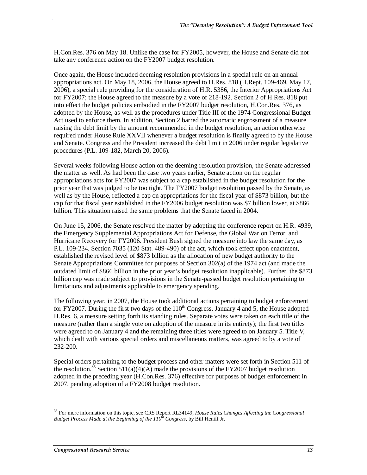H.Con.Res. 376 on May 18. Unlike the case for FY2005, however, the House and Senate did not take any conference action on the FY2007 budget resolution.

Once again, the House included deeming resolution provisions in a special rule on an annual appropriations act. On May 18, 2006, the House agreed to H.Res. 818 (H.Rept. 109-469, May 17, 2006), a special rule providing for the consideration of H.R. 5386, the Interior Appropriations Act for FY2007; the House agreed to the measure by a vote of 218-192. Section 2 of H.Res. 818 put into effect the budget policies embodied in the FY2007 budget resolution, H.Con.Res. 376, as adopted by the House, as well as the procedures under Title III of the 1974 Congressional Budget Act used to enforce them. In addition, Section 2 barred the automatic engrossment of a measure raising the debt limit by the amount recommended in the budget resolution, an action otherwise required under House Rule XXVII whenever a budget resolution is finally agreed to by the House and Senate. Congress and the President increased the debt limit in 2006 under regular legislative procedures (P.L. 109-182, March 20, 2006).

Several weeks following House action on the deeming resolution provision, the Senate addressed the matter as well. As had been the case two years earlier, Senate action on the regular appropriations acts for FY2007 was subject to a cap established in the budget resolution for the prior year that was judged to be too tight. The FY2007 budget resolution passed by the Senate, as well as by the House, reflected a cap on appropriations for the fiscal year of \$873 billion, but the cap for that fiscal year established in the FY2006 budget resolution was \$7 billion lower, at \$866 billion. This situation raised the same problems that the Senate faced in 2004.

On June 15, 2006, the Senate resolved the matter by adopting the conference report on H.R. 4939, the Emergency Supplemental Appropriations Act for Defense, the Global War on Terror, and Hurricane Recovery for FY2006. President Bush signed the measure into law the same day, as P.L. 109-234. Section 7035 (120 Stat. 489-490) of the act, which took effect upon enactment, established the revised level of \$873 billion as the allocation of new budget authority to the Senate Appropriations Committee for purposes of Section 302(a) of the 1974 act (and made the outdated limit of \$866 billion in the prior year's budget resolution inapplicable). Further, the \$873 billion cap was made subject to provisions in the Senate-passed budget resolution pertaining to limitations and adjustments applicable to emergency spending.

The following year, in 2007, the House took additional actions pertaining to budget enforcement for FY2007. During the first two days of the  $110^{th}$  Congress, January 4 and 5, the House adopted H.Res. 6, a measure setting forth its standing rules. Separate votes were taken on each title of the measure (rather than a single vote on adoption of the measure in its entirety); the first two titles were agreed to on January 4 and the remaining three titles were agreed to on January 5. Title V, which dealt with various special orders and miscellaneous matters, was agreed to by a vote of 232-200.

Special orders pertaining to the budget process and other matters were set forth in Section 511 of the resolution.<sup>35</sup> Section 511(a)(4)(A) made the provisions of the FY2007 budget resolution adopted in the preceding year (H.Con.Res. 376) effective for purposes of budget enforcement in 2007, pending adoption of a FY2008 budget resolution.

1

<sup>35</sup> For more information on this topic, see CRS Report RL34149, *House Rules Changes Affecting the Congressional Budget Process Made at the Beginning of the 110<sup>th</sup> Congress, by Bill Heniff Jr.*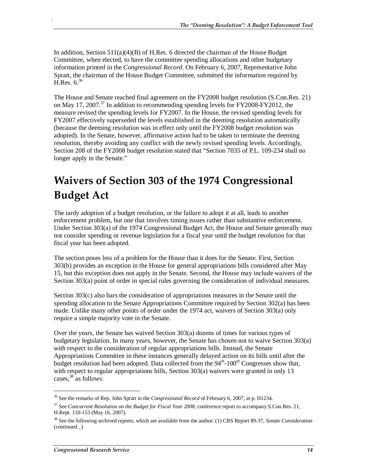In addition, Section  $511(a)(4)(B)$  of H.Res. 6 directed the chairman of the House Budget Committee, when elected, to have the committee spending allocations and other budgetary information printed in the *Congressional Record*. On February 6, 2007, Representative John Spratt, the chairman of the House Budget Committee, submitted the information required by H.Res.  $6^{36}$ 

The House and Senate reached final agreement on the FY2008 budget resolution (S.Con.Res. 21) on May 17, 2007.<sup>37</sup> In addition to recommending spending levels for FY2008-FY2012, the measure revised the spending levels for FY2007. In the House, the revised spending levels for FY2007 effectively superseded the levels established in the deeming resolution automatically (because the deeming resolution was in effect only until the FY2008 budget resolution was adopted). In the Senate, however, affirmative action had to be taken to terminate the deeming resolution, thereby avoiding any conflict with the newly revised spending levels. Accordingly, Section 208 of the FY2008 budget resolution stated that "Section 7035 of P.L. 109-234 shall no longer apply in the Senate."

# **Waivers of Section 303 of the 1974 Congressional Budget Act**

The tardy adoption of a budget resolution, or the failure to adopt it at all, leads to another enforcement problem, but one that involves timing issues rather than substantive enforcement. Under Section 303(a) of the 1974 Congressional Budget Act, the House and Senate generally may not consider spending or revenue legislation for a fiscal year until the budget resolution for that fiscal year has been adopted.

The section poses less of a problem for the House than it does for the Senate. First, Section 303(b) provides an exception in the House for general appropriations bills considered after May 15, but this exception does not apply in the Senate. Second, the House may include waivers of the Section 303(a) point of order in special rules governing the consideration of individual measures.

Section 303(c) also bars the consideration of appropriations measures in the Senate until the spending allocation to the Senate Appropriations Committee required by Section 302(a) has been made. Unlike many other points of order under the 1974 act, waivers of Section 303(a) only require a simple majority vote in the Senate.

Over the years, the Senate has waived Section 303(a) dozens of times for various types of budgetary legislation. In many years, however, the Senate has chosen not to waive Section 303(a) with respect to the consideration of regular appropriations bills. Instead, the Senate Appropriations Committee in these instances generally delayed action on its bills until after the budget resolution had been adopted. Data collected from the 94<sup>th</sup>-100<sup>th</sup> Congresses show that, with respect to regular appropriations bills, Section 303(a) waivers were granted in only 13 cases,  $38$  as follows:

<u>.</u>

<sup>36</sup> See the remarks of Rep. John Spratt in the *Congressional Record* of February 6, 2007, at p. H1234.

<sup>&</sup>lt;sup>37</sup> See *Concurrent Resolution on the Budget for Fiscal Year 2008*, conference report to accompany S.Con.Res. 21, H.Rept. 110-153 (May 16, 2007).

<sup>38</sup> See the following archived reports, which are available from the author: (1) CRS Report 89-37, *Senate Consideration*  (continued...)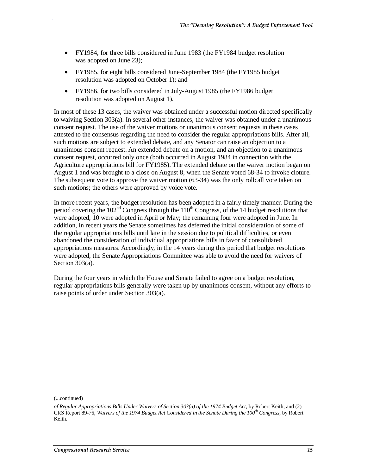- FY1984, for three bills considered in June 1983 (the FY1984 budget resolution was adopted on June 23);
- FY1985, for eight bills considered June-September 1984 (the FY1985 budget resolution was adopted on October 1); and
- FY1986, for two bills considered in July-August 1985 (the FY1986 budget resolution was adopted on August 1).

In most of these 13 cases, the waiver was obtained under a successful motion directed specifically to waiving Section 303(a). In several other instances, the waiver was obtained under a unanimous consent request. The use of the waiver motions or unanimous consent requests in these cases attested to the consensus regarding the need to consider the regular appropriations bills. After all, such motions are subject to extended debate, and any Senator can raise an objection to a unanimous consent request. An extended debate on a motion, and an objection to a unanimous consent request, occurred only once (both occurred in August 1984 in connection with the Agriculture appropriations bill for FY1985). The extended debate on the waiver motion began on August 1 and was brought to a close on August 8, when the Senate voted 68-34 to invoke cloture. The subsequent vote to approve the waiver motion (63-34) was the only rollcall vote taken on such motions; the others were approved by voice vote.

In more recent years, the budget resolution has been adopted in a fairly timely manner. During the period covering the  $102<sup>nd</sup>$  Congress through the  $110<sup>th</sup>$  Congress, of the 14 budget resolutions that were adopted, 10 were adopted in April or May; the remaining four were adopted in June. In addition, in recent years the Senate sometimes has deferred the initial consideration of some of the regular appropriations bills until late in the session due to political difficulties, or even abandoned the consideration of individual appropriations bills in favor of consolidated appropriations measures. Accordingly, in the 14 years during this period that budget resolutions were adopted, the Senate Appropriations Committee was able to avoid the need for waivers of Section 303(a).

During the four years in which the House and Senate failed to agree on a budget resolution, regular appropriations bills generally were taken up by unanimous consent, without any efforts to raise points of order under Section 303(a).

<u>.</u>

<sup>(...</sup>continued)

*of Regular Appropriations Bills Under Waivers of Section 303(a) of the 1974 Budget Act*, by Robert Keith; and (2) CRS Report 89-76, *Waivers of the 1974 Budget Act Considered in the Senate During the 100th Congress*, by Robert Keith.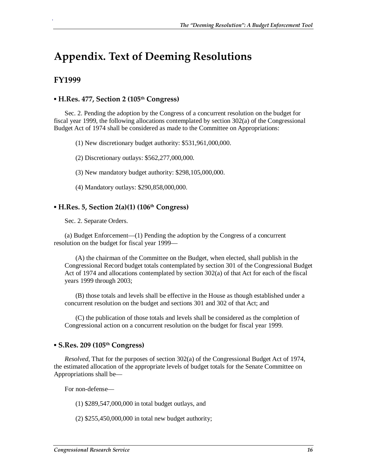# **Appendix. Text of Deeming Resolutions**

## **FY1999**

.

## **▪ H.Res. 477, Section 2 (105th Congress)**

Sec. 2. Pending the adoption by the Congress of a concurrent resolution on the budget for fiscal year 1999, the following allocations contemplated by section 302(a) of the Congressional Budget Act of 1974 shall be considered as made to the Committee on Appropriations:

(1) New discretionary budget authority: \$531,961,000,000.

(2) Discretionary outlays: \$562,277,000,000.

(3) New mandatory budget authority: \$298,105,000,000.

(4) Mandatory outlays: \$290,858,000,000.

## **▪ H.Res. 5, Section 2(a)(1) (106th Congress)**

Sec. 2. Separate Orders.

(a) Budget Enforcement—(1) Pending the adoption by the Congress of a concurrent resolution on the budget for fiscal year 1999—

(A) the chairman of the Committee on the Budget, when elected, shall publish in the Congressional Record budget totals contemplated by section 301 of the Congressional Budget Act of 1974 and allocations contemplated by section 302(a) of that Act for each of the fiscal years 1999 through 2003;

(B) those totals and levels shall be effective in the House as though established under a concurrent resolution on the budget and sections 301 and 302 of that Act; and

(C) the publication of those totals and levels shall be considered as the completion of Congressional action on a concurrent resolution on the budget for fiscal year 1999.

## **▪ S.Res. 209 (105th Congress)**

*Resolved*, That for the purposes of section 302(a) of the Congressional Budget Act of 1974, the estimated allocation of the appropriate levels of budget totals for the Senate Committee on Appropriations shall be—

For non-defense—

(1) \$289,547,000,000 in total budget outlays, and

(2) \$255,450,000,000 in total new budget authority;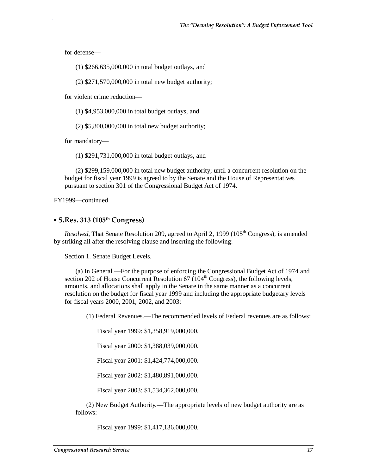for defense—

.

(1) \$266,635,000,000 in total budget outlays, and

(2) \$271,570,000,000 in total new budget authority;

for violent crime reduction—

(1) \$4,953,000,000 in total budget outlays, and

(2) \$5,800,000,000 in total new budget authority;

for mandatory—

(1) \$291,731,000,000 in total budget outlays, and

(2) \$299,159,000,000 in total new budget authority; until a concurrent resolution on the budget for fiscal year 1999 is agreed to by the Senate and the House of Representatives pursuant to section 301 of the Congressional Budget Act of 1974.

FY1999—continued

### **▪ S.Res. 313 (105th Congress)**

*Resolved*, That Senate Resolution 209, agreed to April 2, 1999 (105<sup>th</sup> Congress), is amended by striking all after the resolving clause and inserting the following:

Section 1. Senate Budget Levels.

(a) In General.—For the purpose of enforcing the Congressional Budget Act of 1974 and section 202 of House Concurrent Resolution  $67$  (104<sup>th</sup> Congress), the following levels, amounts, and allocations shall apply in the Senate in the same manner as a concurrent resolution on the budget for fiscal year 1999 and including the appropriate budgetary levels for fiscal years 2000, 2001, 2002, and 2003:

(1) Federal Revenues.—The recommended levels of Federal revenues are as follows:

Fiscal year 1999: \$1,358,919,000,000.

Fiscal year 2000: \$1,388,039,000,000.

Fiscal year 2001: \$1,424,774,000,000.

Fiscal year 2002: \$1,480,891,000,000.

Fiscal year 2003: \$1,534,362,000,000.

(2) New Budget Authority.—The appropriate levels of new budget authority are as follows:

Fiscal year 1999: \$1,417,136,000,000.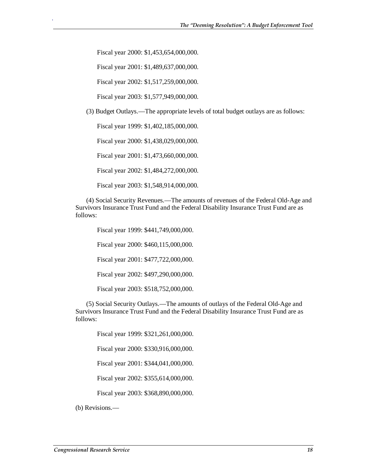Fiscal year 2000: \$1,453,654,000,000.

.

Fiscal year 2001: \$1,489,637,000,000.

Fiscal year 2002: \$1,517,259,000,000.

Fiscal year 2003: \$1,577,949,000,000.

(3) Budget Outlays.—The appropriate levels of total budget outlays are as follows:

Fiscal year 1999: \$1,402,185,000,000.

Fiscal year 2000: \$1,438,029,000,000.

Fiscal year 2001: \$1,473,660,000,000.

Fiscal year 2002: \$1,484,272,000,000.

Fiscal year 2003: \$1,548,914,000,000.

(4) Social Security Revenues.—The amounts of revenues of the Federal Old-Age and Survivors Insurance Trust Fund and the Federal Disability Insurance Trust Fund are as follows:

Fiscal year 1999: \$441,749,000,000.

Fiscal year 2000: \$460,115,000,000.

Fiscal year 2001: \$477,722,000,000.

Fiscal year 2002: \$497,290,000,000.

Fiscal year 2003: \$518,752,000,000.

(5) Social Security Outlays.—The amounts of outlays of the Federal Old-Age and Survivors Insurance Trust Fund and the Federal Disability Insurance Trust Fund are as follows:

Fiscal year 1999: \$321,261,000,000.

Fiscal year 2000: \$330,916,000,000.

Fiscal year 2001: \$344,041,000,000.

Fiscal year 2002: \$355,614,000,000.

Fiscal year 2003: \$368,890,000,000.

(b) Revisions.—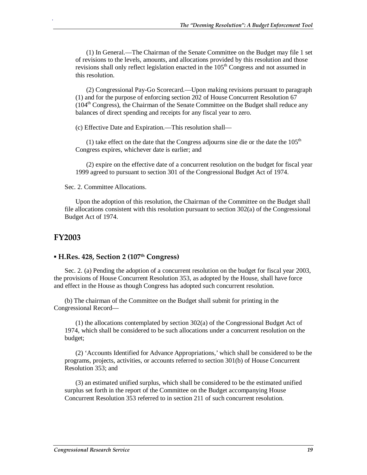(1) In General.—The Chairman of the Senate Committee on the Budget may file 1 set of revisions to the levels, amounts, and allocations provided by this resolution and those revisions shall only reflect legislation enacted in the  $105<sup>th</sup>$  Congress and not assumed in this resolution.

(2) Congressional Pay-Go Scorecard.—Upon making revisions pursuant to paragraph (1) and for the purpose of enforcing section 202 of House Concurrent Resolution 67  $(104<sup>th</sup> Congress)$ , the Chairman of the Senate Committee on the Budget shall reduce any balances of direct spending and receipts for any fiscal year to zero.

(c) Effective Date and Expiration.—This resolution shall—

(1) take effect on the date that the Congress adjourns sine die or the date the  $105<sup>th</sup>$ Congress expires, whichever date is earlier; and

(2) expire on the effective date of a concurrent resolution on the budget for fiscal year 1999 agreed to pursuant to section 301 of the Congressional Budget Act of 1974.

Sec. 2. Committee Allocations.

Upon the adoption of this resolution, the Chairman of the Committee on the Budget shall file allocations consistent with this resolution pursuant to section 302(a) of the Congressional Budget Act of 1974.

## **FY2003**

.

#### **▪ H.Res. 428, Section 2 (107th Congress)**

Sec. 2. (a) Pending the adoption of a concurrent resolution on the budget for fiscal year 2003, the provisions of House Concurrent Resolution 353, as adopted by the House, shall have force and effect in the House as though Congress has adopted such concurrent resolution.

(b) The chairman of the Committee on the Budget shall submit for printing in the Congressional Record—

(1) the allocations contemplated by section 302(a) of the Congressional Budget Act of 1974, which shall be considered to be such allocations under a concurrent resolution on the budget;

(2) 'Accounts Identified for Advance Appropriations,' which shall be considered to be the programs, projects, activities, or accounts referred to section 301(b) of House Concurrent Resolution 353; and

(3) an estimated unified surplus, which shall be considered to be the estimated unified surplus set forth in the report of the Committee on the Budget accompanying House Concurrent Resolution 353 referred to in section 211 of such concurrent resolution.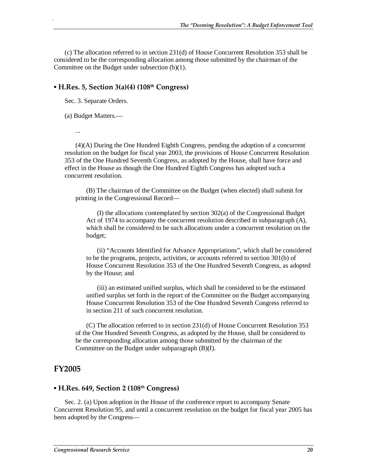(c) The allocation referred to in section 231(d) of House Concurrent Resolution 353 shall be considered to be the corresponding allocation among those submitted by the chairman of the Committee on the Budget under subsection (b)(1).

### **▪ H.Res. 5, Section 3(a)(4) (108th Congress)**

Sec. 3. Separate Orders.

(a) Budget Matters.—

...

.

(4)(A) During the One Hundred Eighth Congress, pending the adoption of a concurrent resolution on the budget for fiscal year 2003, the provisions of House Concurrent Resolution 353 of the One Hundred Seventh Congress, as adopted by the House, shall have force and effect in the House as though the One Hundred Eighth Congress has adopted such a concurrent resolution.

(B) The chairman of the Committee on the Budget (when elected) shall submit for printing in the Congressional Record—

(I) the allocations contemplated by section 302(a) of the Congressional Budget Act of 1974 to accompany the concurrent resolution described in subparagraph (A), which shall be considered to be such allocations under a concurrent resolution on the budget;

(ii) "Accounts Identified for Advance Appropriations", which shall be considered to be the programs, projects, activities, or accounts referred to section 301(b) of House Concurrent Resolution 353 of the One Hundred Seventh Congress, as adopted by the House; and

(iii) an estimated unified surplus, which shall be considered to be the estimated unified surplus set forth in the report of the Committee on the Budget accompanying House Concurrent Resolution 353 of the One Hundred Seventh Congress referred to in section 211 of such concurrent resolution.

(C) The allocation referred to in section 231(d) of House Concurrent Resolution 353 of the One Hundred Seventh Congress, as adopted by the House, shall be considered to be the corresponding allocation among those submitted by the chairman of the Committee on the Budget under subparagraph (B)(I).

## **FY2005**

#### **▪ H.Res. 649, Section 2 (108th Congress)**

Sec. 2. (a) Upon adoption in the House of the conference report to accompany Senate Concurrent Resolution 95, and until a concurrent resolution on the budget for fiscal year 2005 has been adopted by the Congress—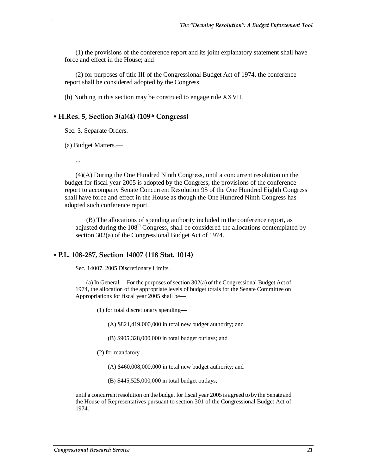(1) the provisions of the conference report and its joint explanatory statement shall have force and effect in the House; and

(2) for purposes of title III of the Congressional Budget Act of 1974, the conference report shall be considered adopted by the Congress.

(b) Nothing in this section may be construed to engage rule XXVII.

### **▪ H.Res. 5, Section 3(a)(4) (109th Congress)**

Sec. 3. Separate Orders.

(a) Budget Matters.—

...

.

(4)(A) During the One Hundred Ninth Congress, until a concurrent resolution on the budget for fiscal year 2005 is adopted by the Congress, the provisions of the conference report to accompany Senate Concurrent Resolution 95 of the One Hundred Eighth Congress shall have force and effect in the House as though the One Hundred Ninth Congress has adopted such conference report.

(B) The allocations of spending authority included in the conference report, as adjusted during the 108<sup>th</sup> Congress, shall be considered the allocations contemplated by section 302(a) of the Congressional Budget Act of 1974.

#### **▪ P.L. 108-287, Section 14007 (118 Stat. 1014)**

Sec. 14007. 2005 Discretionary Limits.

(a) In General.—For the purposes of section 302(a) of the Congressional Budget Act of 1974, the allocation of the appropriate levels of budget totals for the Senate Committee on Appropriations for fiscal year 2005 shall be—

(1) for total discretionary spending—

(A) \$821,419,000,000 in total new budget authority; and

(B) \$905,328,000,000 in total budget outlays; and

(2) for mandatory—

(A) \$460,008,000,000 in total new budget authority; and

(B) \$445,525,000,000 in total budget outlays;

until a concurrent resolution on the budget for fiscal year 2005 is agreed to by the Senate and the House of Representatives pursuant to section 301 of the Congressional Budget Act of 1974.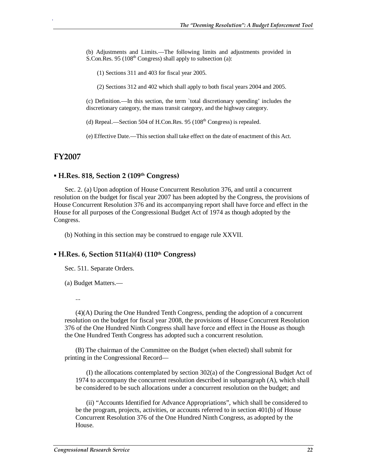(b) Adjustments and Limits.—The following limits and adjustments provided in S.Con.Res. 95 (108<sup>th</sup> Congress) shall apply to subsection (a):

(1) Sections 311 and 403 for fiscal year 2005.

(2) Sections 312 and 402 which shall apply to both fiscal years 2004 and 2005.

(c) Definition.—In this section, the term `total discretionary spending' includes the discretionary category, the mass transit category, and the highway category.

(d) Repeal.—Section 504 of H.Con.Res. 95 ( $108<sup>th</sup>$  Congress) is repealed.

(e) Effective Date.—This section shall take effect on the date of enactment of this Act.

## **FY2007**

.

#### **▪ H.Res. 818, Section 2 (109th Congress)**

Sec. 2. (a) Upon adoption of House Concurrent Resolution 376, and until a concurrent resolution on the budget for fiscal year 2007 has been adopted by the Congress, the provisions of House Concurrent Resolution 376 and its accompanying report shall have force and effect in the House for all purposes of the Congressional Budget Act of 1974 as though adopted by the Congress.

(b) Nothing in this section may be construed to engage rule XXVII.

#### **▪ H.Res. 6, Section 511(a)(4) (110th Congress)**

Sec. 511. Separate Orders.

(a) Budget Matters.—

...

(4)(A) During the One Hundred Tenth Congress, pending the adoption of a concurrent resolution on the budget for fiscal year 2008, the provisions of House Concurrent Resolution 376 of the One Hundred Ninth Congress shall have force and effect in the House as though the One Hundred Tenth Congress has adopted such a concurrent resolution.

(B) The chairman of the Committee on the Budget (when elected) shall submit for printing in the Congressional Record—

(I) the allocations contemplated by section 302(a) of the Congressional Budget Act of 1974 to accompany the concurrent resolution described in subparagraph (A), which shall be considered to be such allocations under a concurrent resolution on the budget; and

(ii) "Accounts Identified for Advance Appropriations", which shall be considered to be the program, projects, activities, or accounts referred to in section 401(b) of House Concurrent Resolution 376 of the One Hundred Ninth Congress, as adopted by the House.